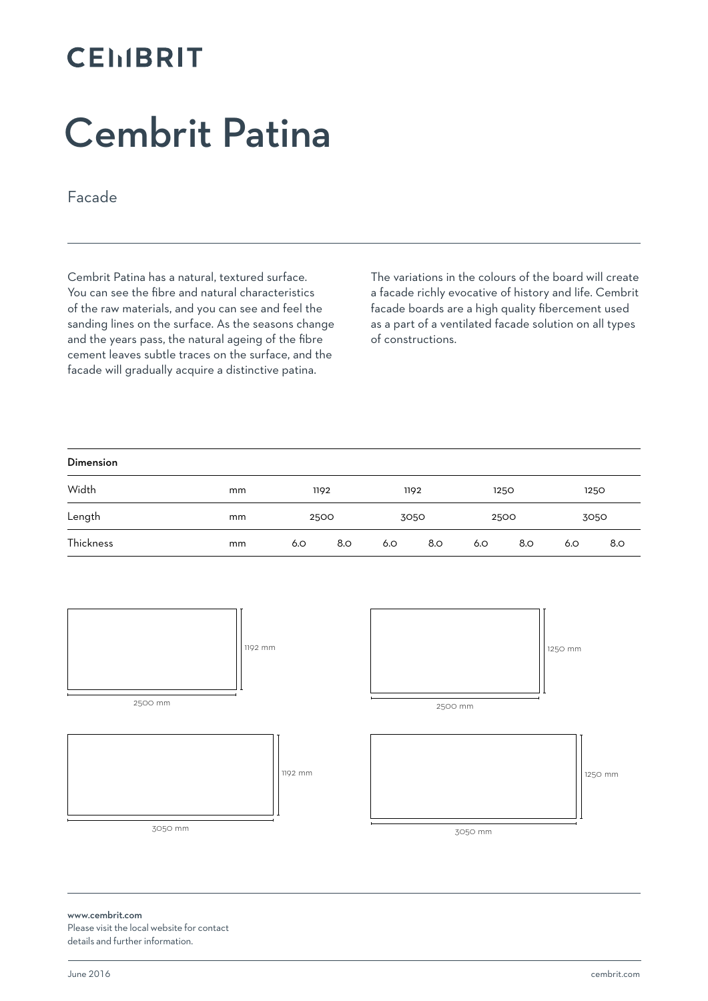## **CEMBRIT**

# Cembrit Patina

Facade

Cembrit Patina has a natural, textured surface. You can see the fibre and natural characteristics of the raw materials, and you can see and feel the sanding lines on the surface. As the seasons change and the years pass, the natural ageing of the fibre cement leaves subtle traces on the surface, and the facade will gradually acquire a distinctive patina.

The variations in the colours of the board will create a facade richly evocative of history and life. Cembrit facade boards are a high quality fibercement used as a part of a ventilated facade solution on all types of constructions.

| Dimension |    |     |              |      |     |      |     |      |     |
|-----------|----|-----|--------------|------|-----|------|-----|------|-----|
| Width     | mm |     | 1192         | 1192 |     | 1250 |     | 1250 |     |
| Length    | mm |     | 2500<br>3050 |      |     | 2500 |     | 3050 |     |
| Thickness | mm | 6.O | 8.0          | 6.0  | 8.O | 6.O  | 8.0 | 6.O  | 8.O |



#### www.cembrit.com Please visit the local website for contact details and further information.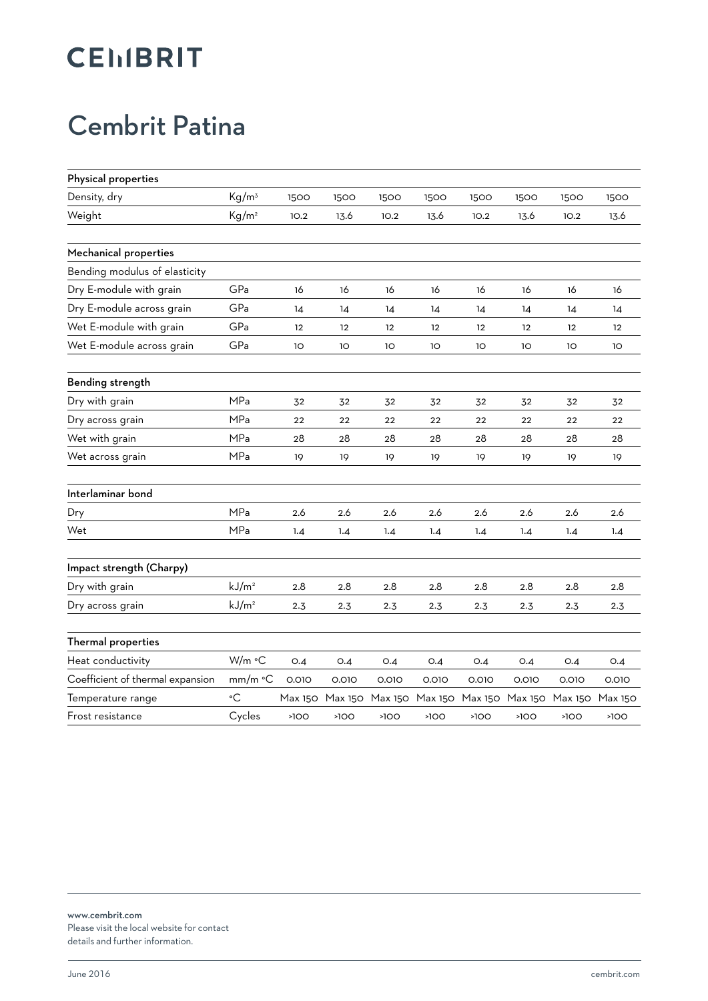# **CEMBRIT**

#### Cembrit Patina

| Physical properties              |                   |         |         |         |         |                 |         |         |                 |
|----------------------------------|-------------------|---------|---------|---------|---------|-----------------|---------|---------|-----------------|
| Density, dry                     | Kg/m <sup>3</sup> | 1500    | 1500    | 1500    | 1500    | 1500            | 1500    | 1500    | 1500            |
| Weight                           | Kg/m <sup>2</sup> | 10.2    | 13.6    | 10.2    | 13.6    | 10.2            | 13.6    | 10.2    | 13.6            |
| Mechanical properties            |                   |         |         |         |         |                 |         |         |                 |
| Bending modulus of elasticity    |                   |         |         |         |         |                 |         |         |                 |
| Dry E-module with grain          | GPa               | 16      | 16      | 16      | 16      | 16              | 16      | 16      | 16              |
| Dry E-module across grain        | GPa               | 14      | 14      | 14      | 14      | 14              | 14      | 14      | 14              |
| Wet E-module with grain          | GPa               | 12      | 12      | 12      | 12      | 12              | 12      | 12      | 12              |
| Wet E-module across grain        | GPa               | 10      | 1O      | 1O      | 10      | 10 <sup>o</sup> | 1O      | 10      | 10 <sup>o</sup> |
| Bending strength                 |                   |         |         |         |         |                 |         |         |                 |
| Dry with grain                   | MPa               | 32      | 32      | 32      | 32      | 32              | 32      | 32      | 32              |
| Dry across grain                 | MPa               | 22      | 22      | 22      | 22      | 22              | 22      | 22      | 22              |
| Wet with grain                   | MPa               | 28      | 28      | 28      | 28      | 28              | 28      | 28      | 28              |
| Wet across grain                 | <b>MPa</b>        | 19      | 19      | 19      | 19      | 19              | 19      | 19      | 19              |
| Interlaminar bond                |                   |         |         |         |         |                 |         |         |                 |
| Dry                              | MPa               | 2.6     | 2.6     | 2.6     | 2.6     | 2.6             | 2.6     | 2.6     | 2.6             |
| Wet                              | MPa               | 1.4     | 1.4     | 1.4     | 1.4     | 1.4             | 1.4     | 1.4     | 1.4             |
| Impact strength (Charpy)         |                   |         |         |         |         |                 |         |         |                 |
| Dry with grain                   | kJ/m <sup>2</sup> | 2.8     | 2.8     | 2.8     | 2.8     | 2.8             | 2.8     | 2.8     | 2.8             |
| Dry across grain                 | kJ/m <sup>2</sup> | 2.3     | 2.3     | 2.3     | 2.3     | 2.3             | 2.3     | 2.3     | 2.3             |
| Thermal properties               |                   |         |         |         |         |                 |         |         |                 |
| Heat conductivity                | W/m °C            | O.4     | O.4     | O.4     | O.4     | O.4             | O.4     | O.4     | O.4             |
| Coefficient of thermal expansion | mm/m °C           | 0.010   | 0.010   | 0.010   | 0.010   | 0.010           | 0.010   | 0.010   | 0.010           |
| Temperature range                | $\circ$ C         | Max 150 | Max 150 | Max 150 | Max 150 | Max 150         | Max 150 | Max 150 | Max 150         |
| Frost resistance                 | Cycles            | >100    | >100    | >100    | >100    | >100            | >100    | >100    | >100            |